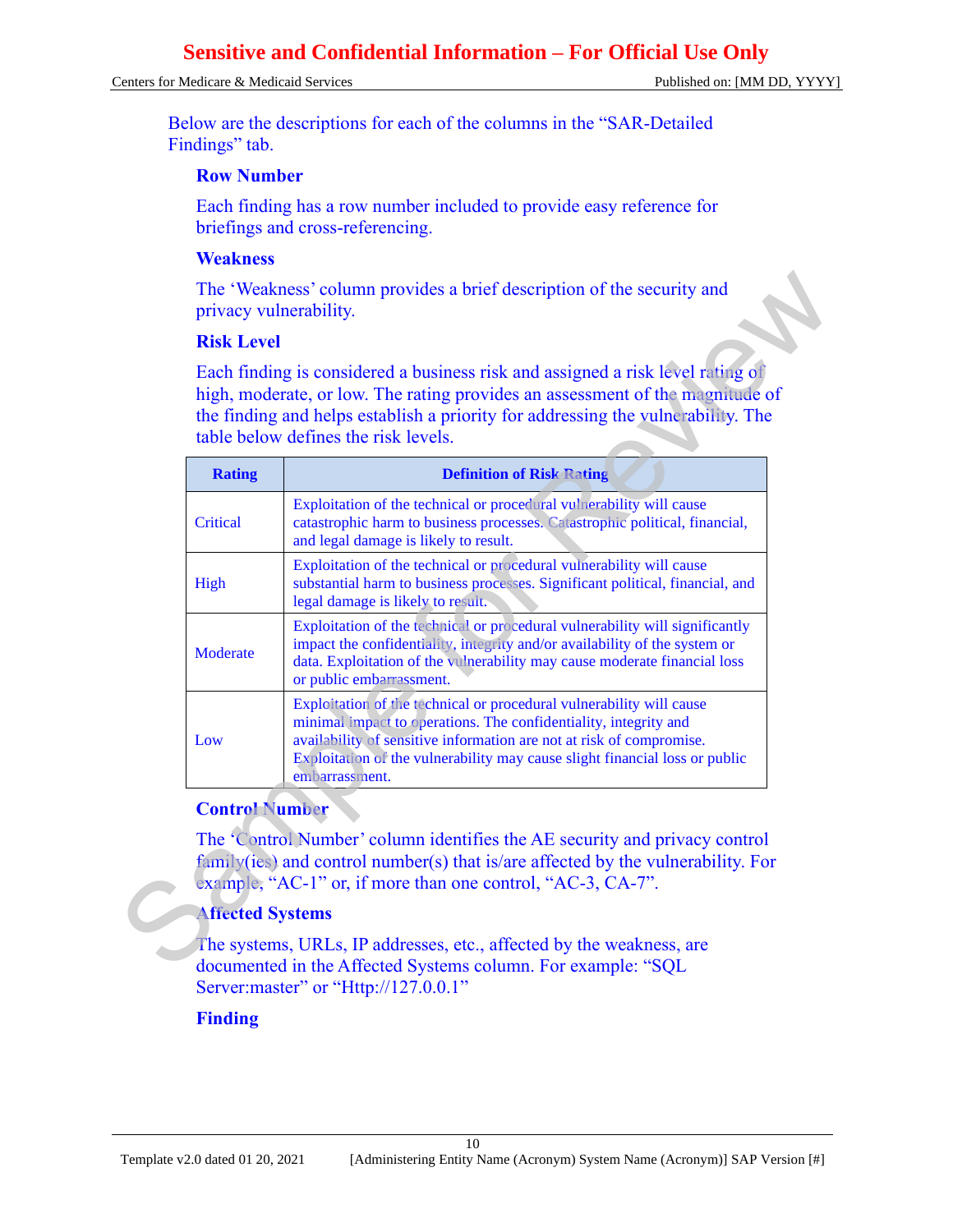#### Centers for Medicare & Medicaid Services **Published on:** [MM DD, YYYY]

Below are the descriptions for each of the columns in the "SAR-Detailed Findings" tab.

#### **Row Number**

Each finding has a row number included to provide easy reference for briefings and cross-referencing.

#### **Weakness**

#### **Risk Level**

|                         | <b>Risk Level</b><br>Each finding is considered a business risk and assigned a risk level rating of                                                                                                                                                                                                               |
|-------------------------|-------------------------------------------------------------------------------------------------------------------------------------------------------------------------------------------------------------------------------------------------------------------------------------------------------------------|
|                         | high, moderate, or low. The rating provides an assessment of the magnitude of<br>the finding and helps establish a priority for addressing the vulnerability. The<br>table below defines the risk levels.                                                                                                         |
| <b>Rating</b>           | <b>Definition of Risk Rating</b>                                                                                                                                                                                                                                                                                  |
| Critical                | Exploitation of the technical or procedural vulnerability will cause<br>catastrophic harm to business processes. Catastrophic political, financial,<br>and legal damage is likely to result.                                                                                                                      |
| High                    | Exploitation of the technical or procedural vulnerability will cause<br>substantial harm to business processes. Significant political, financial, and<br>legal damage is likely to result.                                                                                                                        |
| Moderate                | Exploitation of the technical or procedural vulnerability will significantly<br>impact the confidentiality, integrity and/or availability of the system or<br>data. Exploitation of the vulnerability may cause moderate financial loss<br>or public embarrassment.                                               |
| Low                     | Exploitation of the technical or procedural vulnerability will cause<br>minimal impact to operations. The confidentiality, integrity and<br>availability of sensitive information are not at risk of compromise.<br>Exploitation of the vulnerability may cause slight financial loss or public<br>embarrassment. |
| <b>Control Number</b>   |                                                                                                                                                                                                                                                                                                                   |
|                         | The 'Control Number' column identifies the AE security and privacy control<br>family(ies) and control number(s) that is/are affected by the vulnerability. For<br>example, "AC-1" or, if more than one control, "AC-3, CA-7".                                                                                     |
| <b>Affected Systems</b> |                                                                                                                                                                                                                                                                                                                   |

#### **Control Number**

#### **Affected Systems**

The systems, URLs, IP addresses, etc., affected by the weakness, are documented in the Affected Systems column. For example: "SQL Server: master" or "Http://127.0.0.1"

#### **Finding**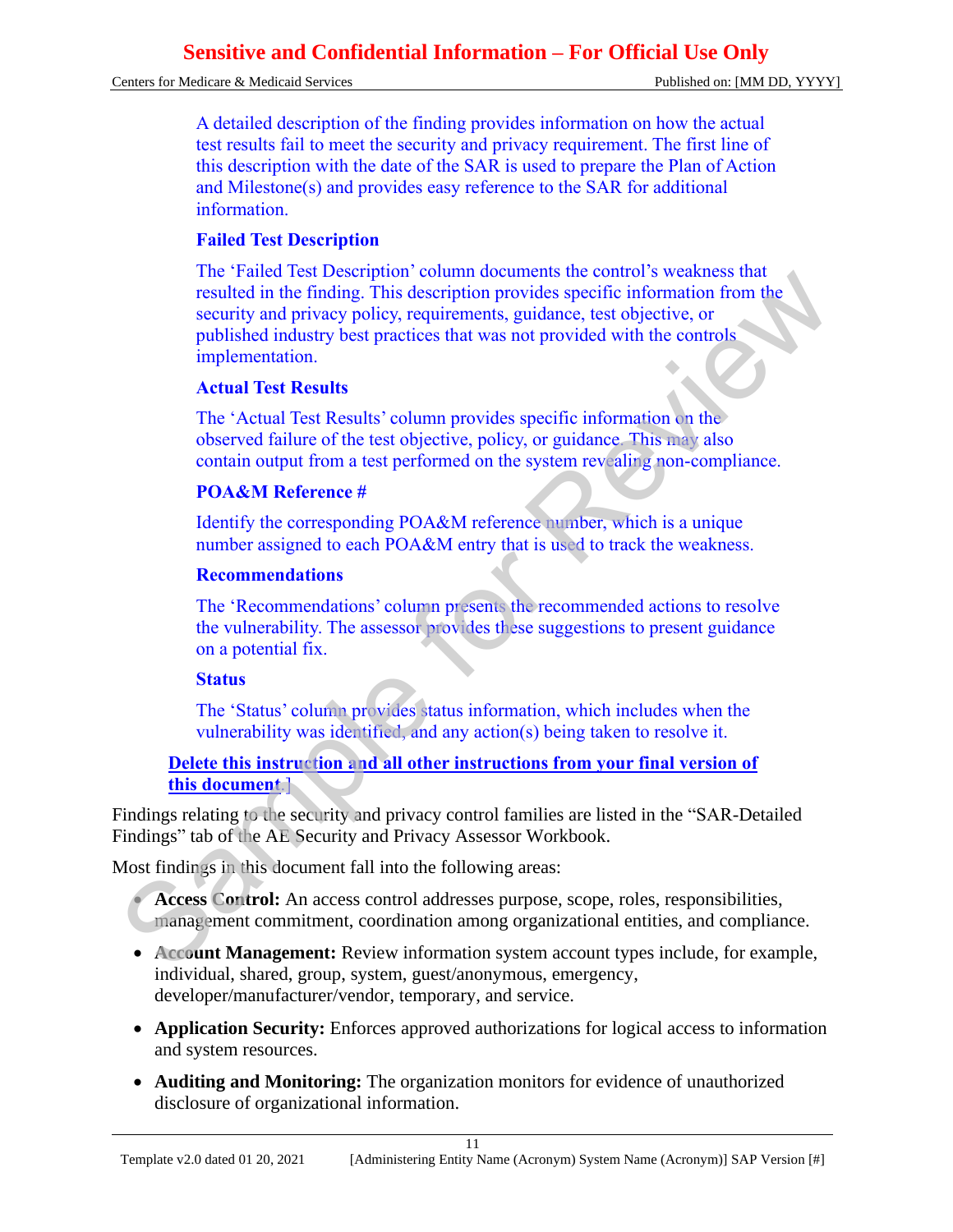Centers for Medicare & Medicaid Services Published on: [MM DD, YYYY]

A detailed description of the finding provides information on how the actual test results fail to meet the security and privacy requirement. The first line of this description with the date of the SAR is used to prepare the Plan of Action and Milestone(s) and provides easy reference to the SAR for additional information.

#### **Failed Test Description**

The 'Failed Test Description' column documents the control's weakness that resulted in the finding. This description provides specific information from the security and privacy policy, requirements, guidance, test objective, or published industry best practices that was not provided with the controls implementation. The Particular est to essential from the model in the "native that the motion" is weakens and<br>resulted in the finding. This description provides specific information from the<br>security and privacy policy, requirements, guid

#### **Actual Test Results**

The 'Actual Test Results' column provides specific information on the observed failure of the test objective, policy, or guidance. This may also contain output from a test performed on the system revealing non-compliance.

#### **POA&M Reference #**

Identify the corresponding POA&M reference number, which is a unique number assigned to each POA&M entry that is used to track the weakness.

#### **Recommendations**

The 'Recommendations' column presents the recommended actions to resolve the vulnerability. The assessor provides these suggestions to present guidance on a potential fix.

#### **Status**

The 'Status' column provides status information, which includes when the vulnerability was identified, and any action(s) being taken to resolve it.

#### **Delete this instruction and all other instructions from your final version of this document**.]

Findings relating to the security and privacy control families are listed in the "SAR-Detailed Findings" tab of the AE Security and Privacy Assessor Workbook.

Most findings in this document fall into the following areas:

• **Access Control:** An access control addresses purpose, scope, roles, responsibilities, management commitment, coordination among organizational entities, and compliance.

- **Account Management:** Review information system account types include, for example, individual, shared, group, system, guest/anonymous, emergency, developer/manufacturer/vendor, temporary, and service.
- **Application Security:** Enforces approved authorizations for logical access to information and system resources.
- **Auditing and Monitoring:** The organization monitors for evidence of unauthorized disclosure of organizational information.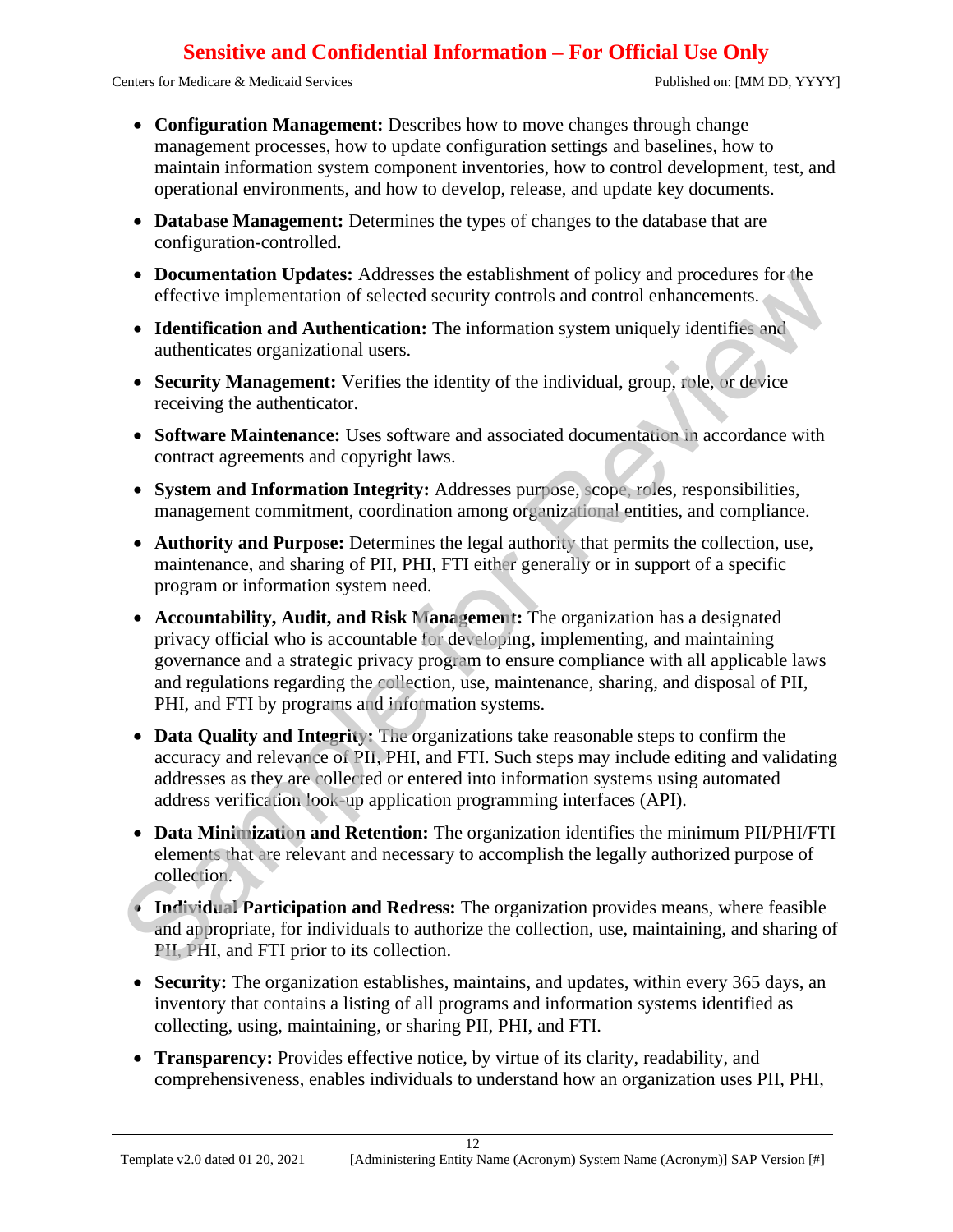Centers for Medicare & Medicaid Services Published on: [MM DD, YYYY]

- **Configuration Management:** Describes how to move changes through change management processes, how to update configuration settings and baselines, how to maintain information system component inventories, how to control development, test, and operational environments, and how to develop, release, and update key documents.
- **Database Management:** Determines the types of changes to the database that are configuration-controlled.
- **Documentation Updates:** Addresses the establishment of policy and procedures for the effective implementation of selected security controls and control enhancements.
- **Identification and Authentication:** The information system uniquely identifies and authenticates organizational users.
- **Security Management:** Verifies the identity of the individual, group, role, or device receiving the authenticator.
- **Software Maintenance:** Uses software and associated documentation in accordance with contract agreements and copyright laws.
- **System and Information Integrity:** Addresses purpose, scope, roles, responsibilities, management commitment, coordination among organizational entities, and compliance.
- **Authority and Purpose:** Determines the legal authority that permits the collection, use, maintenance, and sharing of PII, PHI, FTI either generally or in support of a specific program or information system need.
- **Accountability, Audit, and Risk Management:** The organization has a designated privacy official who is accountable for developing, implementing, and maintaining governance and a strategic privacy program to ensure compliance with all applicable laws and regulations regarding the collection, use, maintenance, sharing, and disposal of PII, PHI, and FTI by programs and information systems. <ul>\n<li>\n<b>De Demmatiation</b> <b>Up</b> <b>disces</b> <b>Adcisses</b> the establishment of policy and procedures for the differentiation of selects a security control control enhancement, or the information system uniquely identifies and authentication and Authentication. The information system uniquely identifies and authenticates organizational users.\n </li>\n<li>\n<b>Sectwity Management.</b> Verifies the identity of the individual, group, role, or device receiving the authentication.\n </li>\n<li>\n<b>Software Maintenance:</b> Uses software and associated documentation in accordance with contract generators.\n </li>\n<li>\n<b>Software Maintenance:</b> Users software and associated documentation in accordance with contract generators, and copyright laws.\n </li>\n<li>\n<b>Source distance</b> <b>And</b> <b>Suppose</b> <b>Determination among</b> <math display="inline
	- **Data Quality and Integrity:** The organizations take reasonable steps to confirm the accuracy and relevance of PII, PHI, and FTI. Such steps may include editing and validating addresses as they are collected or entered into information systems using automated address verification look-up application programming interfaces (API).
	- **Data Minimization and Retention:** The organization identifies the minimum PII/PHI/FTI elements that are relevant and necessary to accomplish the legally authorized purpose of collection.
	- **Individual Participation and Redress:** The organization provides means, where feasible and appropriate, for individuals to authorize the collection, use, maintaining, and sharing of PII, PHI, and FTI prior to its collection.
	- **Security:** The organization establishes, maintains, and updates, within every 365 days, an inventory that contains a listing of all programs and information systems identified as collecting, using, maintaining, or sharing PII, PHI, and FTI.
	- **Transparency:** Provides effective notice, by virtue of its clarity, readability, and comprehensiveness, enables individuals to understand how an organization uses PII, PHI,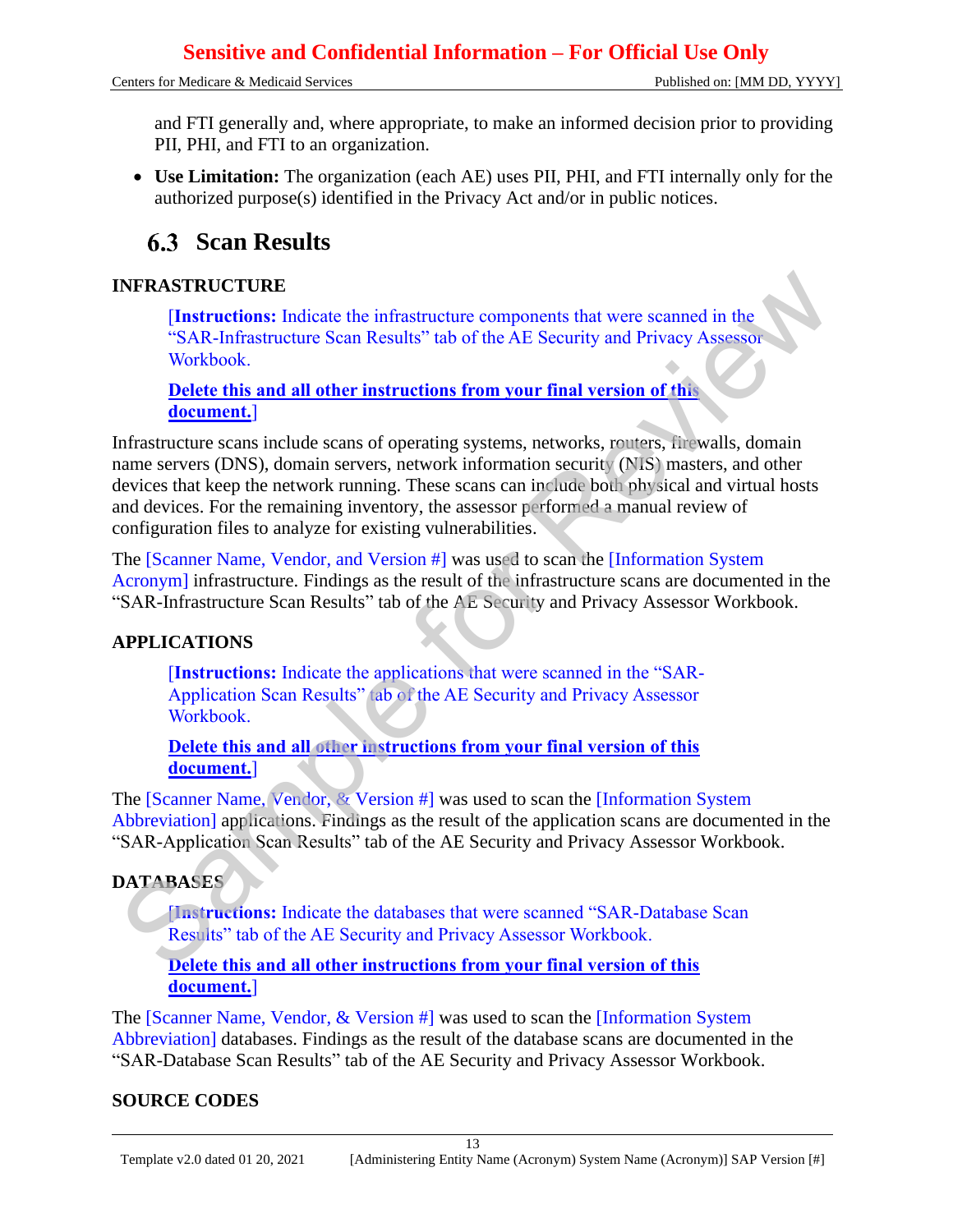Centers for Medicare & Medicaid Services Published on: [MM DD, YYYY]

and FTI generally and, where appropriate, to make an informed decision prior to providing PII, PHI, and FTI to an organization.

• **Use Limitation:** The organization (each AE) uses PII, PHI, and FTI internally only for the authorized purpose(s) identified in the Privacy Act and/or in public notices.

# **Scan Results**

#### **INFRASTRUCTURE**

[**Instructions:** Indicate the infrastructure components that were scanned in the "SAR-Infrastructure Scan Results" tab of the AE Security and Privacy Assessor Workbook.

**Delete this and all other instructions from your final version of this document.**]

Infrastructure scans include scans of operating systems, networks, routers, firewalls, domain name servers (DNS), domain servers, network information security (NIS) masters, and other devices that keep the network running. These scans can include both physical and virtual hosts and devices. For the remaining inventory, the assessor performed a manual review of configuration files to analyze for existing vulnerabilities. **INFRASTRUCTURE**<br> **Contractions:** Indicate the infrastructure components that were seamned in the<br> **Contract Control** into the Scale Chief and all other instructions from your final version of this<br> **Contract Control** int

The [Scanner Name, Vendor, and Version #] was used to scan the [Information System Acronym] infrastructure. Findings as the result of the infrastructure scans are documented in the "SAR-Infrastructure Scan Results" tab of the AE Security and Privacy Assessor Workbook.

#### **APPLICATIONS**

[**Instructions:** Indicate the applications that were scanned in the "SAR-Application Scan Results" tab of the AE Security and Privacy Assessor Workbook.

#### **Delete this and all other instructions from your final version of this document.**]

The [Scanner Name, Vendor, & Version #] was used to scan the [Information System Abbreviation] applications. Findings as the result of the application scans are documented in the "SAR-Application Scan Results" tab of the AE Security and Privacy Assessor Workbook.

#### **DATABASES**

[**Instructions:** Indicate the databases that were scanned "SAR-Database Scan Results" tab of the AE Security and Privacy Assessor Workbook.

#### **Delete this and all other instructions from your final version of this document.**]

The [Scanner Name, Vendor, & Version #] was used to scan the [Information System Abbreviation] databases. Findings as the result of the database scans are documented in the "SAR-Database Scan Results" tab of the AE Security and Privacy Assessor Workbook.

#### **SOURCE CODES**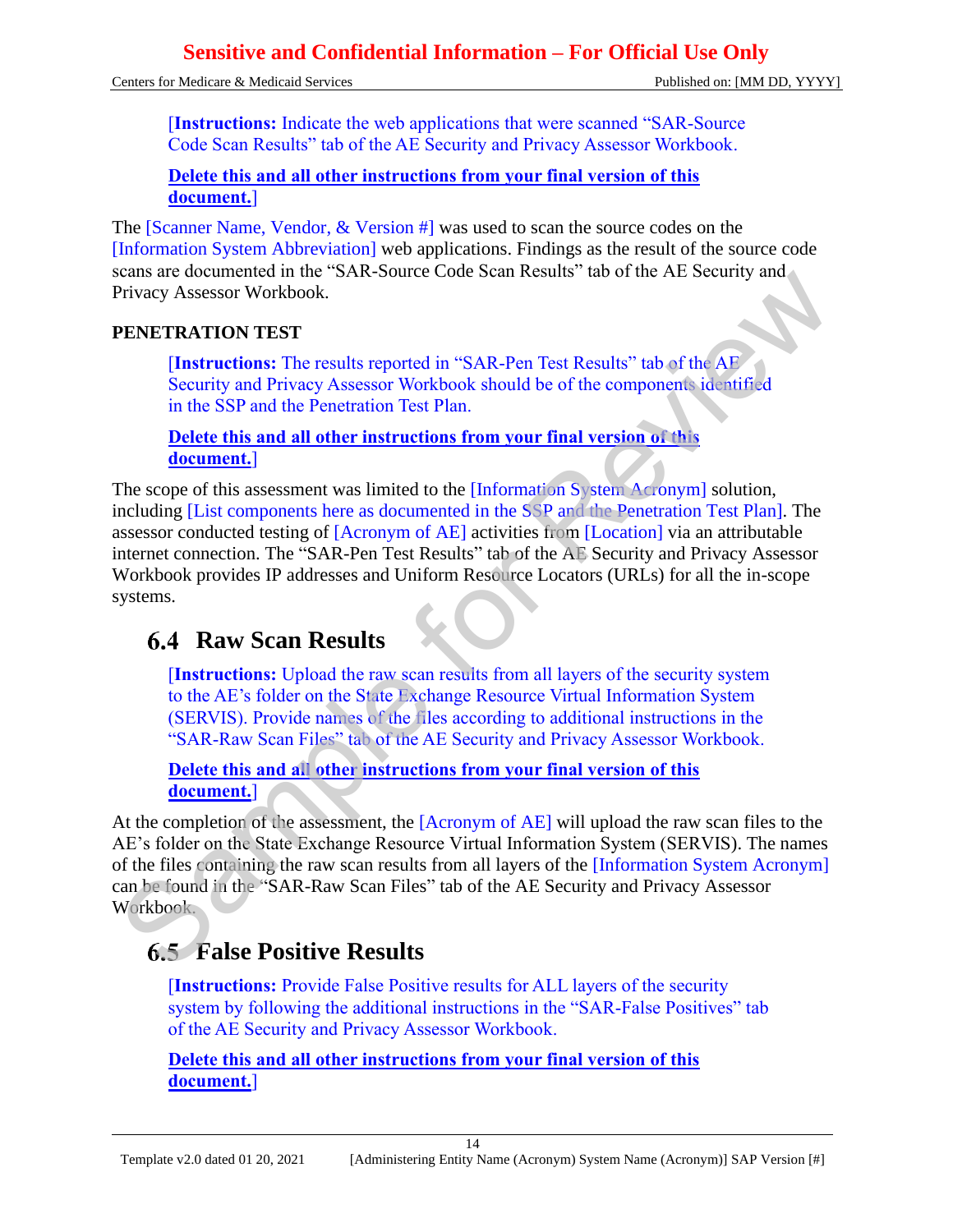Centers for Medicare & Medicaid Services Published on: [MM DD, YYYY]

[**Instructions:** Indicate the web applications that were scanned "SAR-Source Code Scan Results" tab of the AE Security and Privacy Assessor Workbook.

#### **Delete this and all other instructions from your final version of this document.**]

The [Scanner Name, Vendor, & Version #] was used to scan the source codes on the [Information System Abbreviation] web applications. Findings as the result of the source code scans are documented in the "SAR-Source Code Scan Results" tab of the AE Security and Privacy Assessor Workbook.

#### **PENETRATION TEST**

[**Instructions:** The results reported in "SAR-Pen Test Results" tab of the AE Security and Privacy Assessor Workbook should be of the components identified in the SSP and the Penetration Test Plan.

**Delete this and all other instructions from your final version of this document.**]

The scope of this assessment was limited to the *[Information System Acronym]* solution, including [List components here as documented in the SSP and the Penetration Test Plan]. The assessor conducted testing of [Acronym of AE] activities from [Location] via an attributable internet connection. The "SAR-Pen Test Results" tab of the AE Security and Privacy Assessor Workbook provides IP addresses and Uniform Resource Locators (URLs) for all the in-scope systems. Sample Total Sample The Sample Total Sample The ME (Sample The Sample The Sample The Sample The Sample The Sample Theorem (Sample The Sample The Sample The Sample The Sample The Sample The Sample The Sample The Sample The

# **6.4 Raw Scan Results**

[**Instructions:** Upload the raw scan results from all layers of the security system to the AE's folder on the State Exchange Resource Virtual Information System (SERVIS). Provide names of the files according to additional instructions in the "SAR-Raw Scan Files" tab of the AE Security and Privacy Assessor Workbook.

**Delete this and all other instructions from your final version of this document.**]

At the completion of the assessment, the  $[Acronym$  of AE] will upload the raw scan files to the AE's folder on the State Exchange Resource Virtual Information System (SERVIS). The names of the files containing the raw scan results from all layers of the [Information System Acronym] can be found in the "SAR-Raw Scan Files" tab of the AE Security and Privacy Assessor Workbook.

## **False Positive Results**

[**Instructions:** Provide False Positive results for ALL layers of the security system by following the additional instructions in the "SAR-False Positives" tab of the AE Security and Privacy Assessor Workbook.

**Delete this and all other instructions from your final version of this document.**]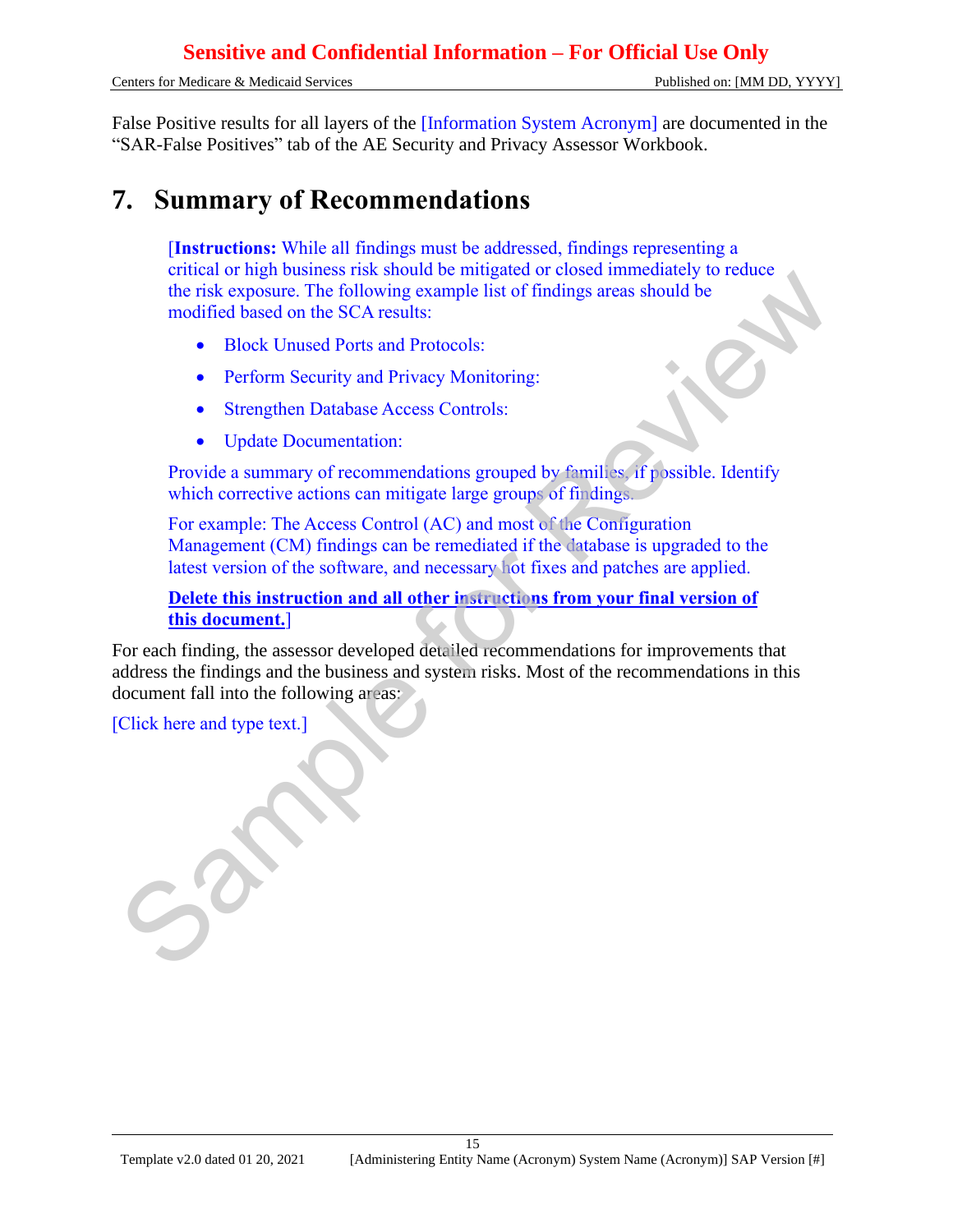Centers for Medicare & Medicaid Services Published on: [MM DD, YYYY]

False Positive results for all layers of the [Information System Acronym] are documented in the "SAR-False Positives" tab of the AE Security and Privacy Assessor Workbook.

# **7. Summary of Recommendations**

[**Instructions:** While all findings must be addressed, findings representing a critical or high business risk should be mitigated or closed immediately to reduce the risk exposure. The following example list of findings areas should be modified based on the SCA results:

- Block Unused Ports and Protocols:
- Perform Security and Privacy Monitoring:
- Strengthen Database Access Controls:
- Update Documentation:

Provide a summary of recommendations grouped by families, if possible. Identify which corrective actions can mitigate large groups of findings.

For example: The Access Control (AC) and most of the Configuration Management (CM) findings can be remediated if the database is upgraded to the latest version of the software, and necessary hot fixes and patches are applied.

#### **Delete this instruction and all other instructions from your final version of this document.**]

For each finding, the assessor developed detailed recommendations for improvements that address the findings and the business and system risks. Most of the recommendations in this document fall into the following areas: end of mgn basiness ress solution per imaginator custom the risk exposure. The following example list of findings areas should be modified based on the SCA results:<br>
• Block Unused Ports and Protocols:<br>
• Perform Security

[Click here and type text.]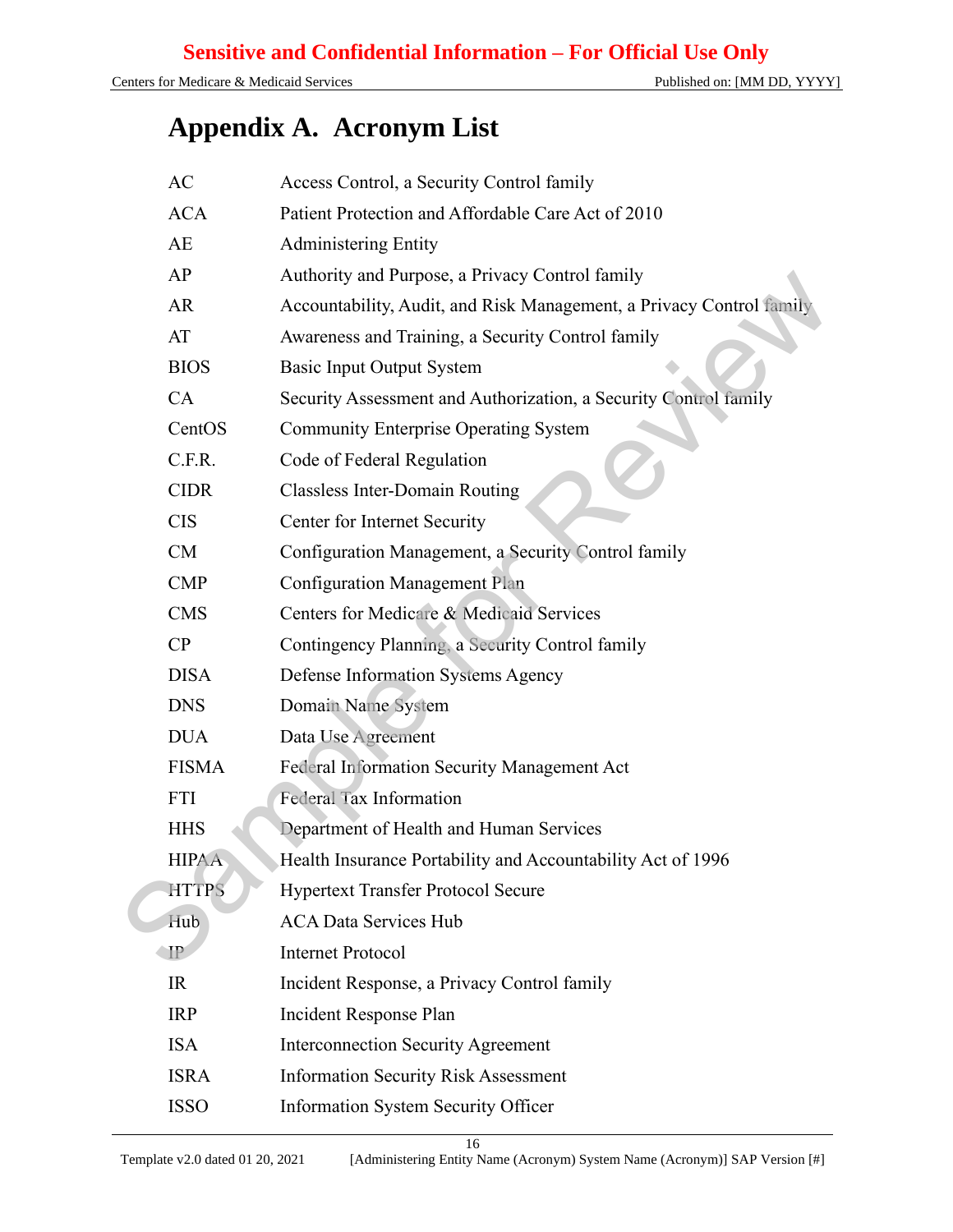# **Appendix A. Acronym List**

| AC<br>Access Control, a Security Control family                                   |  |
|-----------------------------------------------------------------------------------|--|
| Patient Protection and Affordable Care Act of 2010<br><b>ACA</b>                  |  |
| AE<br><b>Administering Entity</b>                                                 |  |
| AP<br>Authority and Purpose, a Privacy Control family                             |  |
| <b>AR</b><br>Accountability, Audit, and Risk Management, a Privacy Control family |  |
| AT<br>Awareness and Training, a Security Control family                           |  |
| <b>BIOS</b><br><b>Basic Input Output System</b>                                   |  |
| CA<br>Security Assessment and Authorization, a Security Control family            |  |
| CentOS<br><b>Community Enterprise Operating System</b>                            |  |
| C.F.R.<br>Code of Federal Regulation                                              |  |
| <b>CIDR</b><br><b>Classless Inter-Domain Routing</b>                              |  |
| <b>CIS</b><br>Center for Internet Security                                        |  |
| CM<br>Configuration Management, a Security Control family                         |  |
| <b>Configuration Management Plan</b><br><b>CMP</b>                                |  |
| Centers for Medicare & Medicaid Services<br><b>CMS</b>                            |  |
| CP<br>Contingency Planning, a Security Control family                             |  |
| <b>DISA</b><br>Defense Information Systems Agency                                 |  |
| <b>DNS</b><br>Domain Name System                                                  |  |
| Data Use Agreement<br><b>DUA</b>                                                  |  |
| <b>FISMA</b><br>Federal Information Security Management Act                       |  |
| <b>Federal Tax Information</b><br><b>FTI</b>                                      |  |
| <b>HHS</b><br>Department of Health and Human Services                             |  |
| <b>HIPAA</b><br>Health Insurance Portability and Accountability Act of 1996       |  |
| <b>HTTPS</b><br><b>Hypertext Transfer Protocol Secure</b>                         |  |
| Hub<br><b>ACA Data Services Hub</b>                                               |  |
| $\mathbb{P}$<br><b>Internet Protocol</b>                                          |  |
| IR<br>Incident Response, a Privacy Control family                                 |  |
| Incident Response Plan<br><b>IRP</b>                                              |  |
| <b>ISA</b><br><b>Interconnection Security Agreement</b>                           |  |
| <b>ISRA</b><br><b>Information Security Risk Assessment</b>                        |  |
| <b>ISSO</b><br><b>Information System Security Officer</b>                         |  |